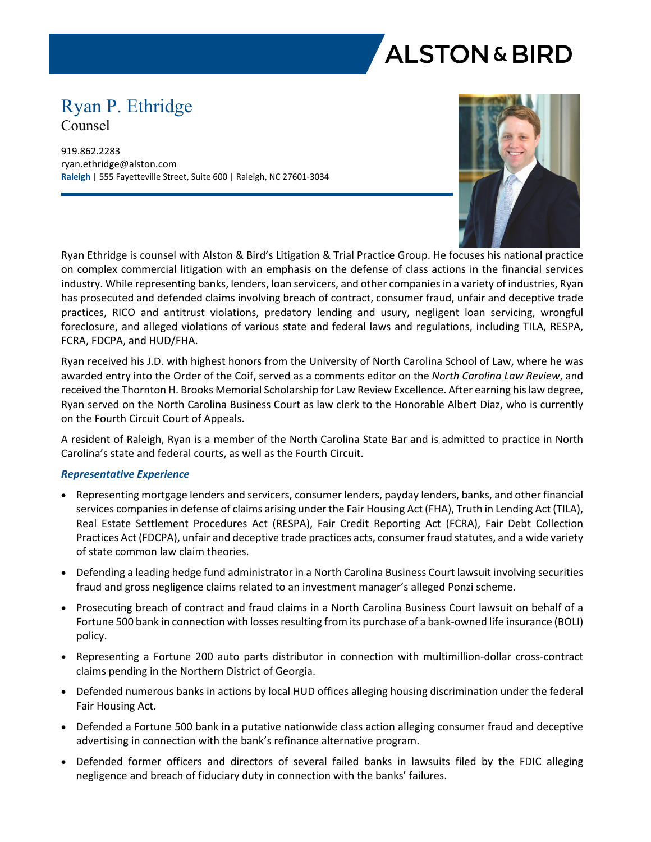

# Ryan P. Ethridge Counsel

919.862.2283 ryan.ethridge@alston.com **Raleigh** | 555 Fayetteville Street, Suite 600 | Raleigh, NC 27601-3034



Ryan Ethridge is counsel with Alston & Bird's Litigation & Trial Practice Group. He focuses his national practice on complex commercial litigation with an emphasis on the defense of class actions in the financial services industry. While representing banks, lenders, loan servicers, and other companies in a variety of industries, Ryan has prosecuted and defended claims involving breach of contract, consumer fraud, unfair and deceptive trade practices, RICO and antitrust violations, predatory lending and usury, negligent loan servicing, wrongful foreclosure, and alleged violations of various state and federal laws and regulations, including TILA, RESPA, FCRA, FDCPA, and HUD/FHA.

Ryan received his J.D. with highest honors from the University of North Carolina School of Law, where he was awarded entry into the Order of the Coif, served as a comments editor on the *North Carolina Law Review*, and received the Thornton H. Brooks Memorial Scholarship for Law Review Excellence. After earning his law degree, Ryan served on the North Carolina Business Court as law clerk to the Honorable Albert Diaz, who is currently on the Fourth Circuit Court of Appeals.

A resident of Raleigh, Ryan is a member of the North Carolina State Bar and is admitted to practice in North Carolina's state and federal courts, as well as the Fourth Circuit.

## *Representative Experience*

- Representing mortgage lenders and servicers, consumer lenders, payday lenders, banks, and other financial services companies in defense of claims arising under the Fair Housing Act (FHA), Truth in Lending Act (TILA), Real Estate Settlement Procedures Act (RESPA), Fair Credit Reporting Act (FCRA), Fair Debt Collection Practices Act (FDCPA), unfair and deceptive trade practices acts, consumer fraud statutes, and a wide variety of state common law claim theories.
- Defending a leading hedge fund administrator in a North Carolina Business Court lawsuit involving securities fraud and gross negligence claims related to an investment manager's alleged Ponzi scheme.
- Prosecuting breach of contract and fraud claims in a North Carolina Business Court lawsuit on behalf of a Fortune 500 bank in connection with losses resulting from its purchase of a bank-owned life insurance (BOLI) policy.
- Representing a Fortune 200 auto parts distributor in connection with multimillion-dollar cross-contract claims pending in the Northern District of Georgia.
- Defended numerous banks in actions by local HUD offices alleging housing discrimination under the federal Fair Housing Act.
- Defended a Fortune 500 bank in a putative nationwide class action alleging consumer fraud and deceptive advertising in connection with the bank's refinance alternative program.
- Defended former officers and directors of several failed banks in lawsuits filed by the FDIC alleging negligence and breach of fiduciary duty in connection with the banks' failures.